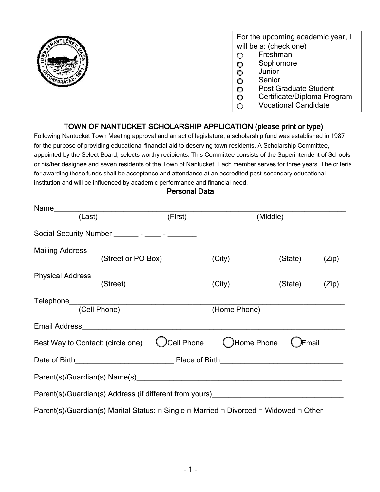

For the upcoming academic year, I will be a: (check one)

- Freshman
- O Sophomore
- O Junior
- O Senior
- O Post Graduate Student
- O Certificate/Diploma Program
- O Vocational Candidate

### TOWN OF NANTUCKET SCHOLARSHIP APPLICATION (please print or type)

Following Nantucket Town Meeting approval and an act of legislature, a scholarship fund was established in 1987 for the purpose of providing educational financial aid to deserving town residents. A Scholarship Committee, appointed by the Select Board, selects worthy recipients. This Committee consists of the Superintendent of Schools or his/her designee and seven residents of the Town of Nantucket. Each member serves for three years. The criteria for awarding these funds shall be acceptance and attendance at an accredited post-secondary educational institution and will be influenced by academic performance and financial need.

#### Personal Data

|                                                                                                                |  | (First) | (Middle)                |         |              |
|----------------------------------------------------------------------------------------------------------------|--|---------|-------------------------|---------|--------------|
| Social Security Number ________ - _____ - _______                                                              |  |         |                         |         |              |
|                                                                                                                |  |         |                         |         |              |
| Mailing Address<br>(Street or PO Box)                                                                          |  |         | (City)                  | (State) | (Zip)        |
|                                                                                                                |  |         |                         |         |              |
|                                                                                                                |  |         | $\overline{(City)}$     | (State) | (Zip)        |
|                                                                                                                |  |         |                         |         |              |
|                                                                                                                |  |         | (Home Phone)            |         |              |
|                                                                                                                |  |         |                         |         |              |
| Best Way to Contact: (circle one)                                                                              |  |         | Ccell Phone CHome Phone |         | <b>Email</b> |
|                                                                                                                |  |         |                         |         |              |
|                                                                                                                |  |         |                         |         |              |
| Parent(s)/Guardian(s) Address (if different from yours)__________________________                              |  |         |                         |         |              |
| Parent(s)/Guardian(s) Marital Status: $\Box$ Single $\Box$ Married $\Box$ Divorced $\Box$ Widowed $\Box$ Other |  |         |                         |         |              |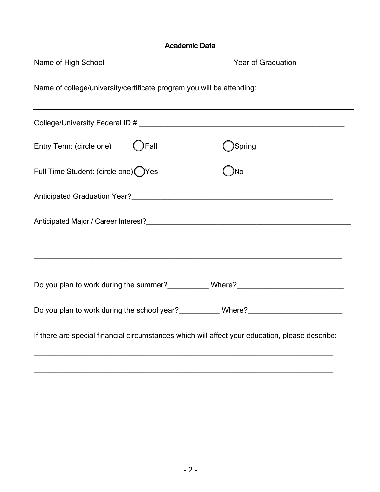| <b>Academic Data</b>                                                                            |        |  |  |  |
|-------------------------------------------------------------------------------------------------|--------|--|--|--|
|                                                                                                 |        |  |  |  |
| Name of college/university/certificate program you will be attending:                           |        |  |  |  |
|                                                                                                 |        |  |  |  |
| Fall<br>Entry Term: (circle one)                                                                | Spring |  |  |  |
| Full Time Student: (circle one) Yes                                                             | No     |  |  |  |
|                                                                                                 |        |  |  |  |
| Anticipated Major / Career Interest?<br><u> Anticipated Major / Career Interest?</u>            |        |  |  |  |
|                                                                                                 |        |  |  |  |
| Do you plan to work during the summer?____________Where?________________________                |        |  |  |  |
|                                                                                                 |        |  |  |  |
| If there are special financial circumstances which will affect your education, please describe: |        |  |  |  |

\_\_\_\_\_\_\_\_\_\_\_\_\_\_\_\_\_\_\_\_\_\_\_\_\_\_\_\_\_\_\_\_\_\_\_\_\_\_\_\_\_\_\_\_\_\_\_\_\_\_\_\_\_\_\_\_\_\_\_\_\_\_\_\_\_\_\_\_\_\_\_\_\_\_\_\_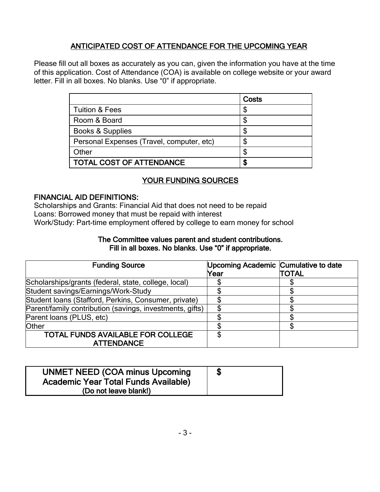# ANTICIPATED COST OF ATTENDANCE FOR THE UPCOMING YEAR

Please fill out all boxes as accurately as you can, given the information you have at the time of this application. Cost of Attendance (COA) is available on college website or your award letter. Fill in all boxes. No blanks. Use "0" if appropriate.

|                                           | Costs |
|-------------------------------------------|-------|
| <b>Tuition &amp; Fees</b>                 | \$    |
| Room & Board                              | \$    |
| <b>Books &amp; Supplies</b>               | \$    |
| Personal Expenses (Travel, computer, etc) | \$    |
| Other                                     | \$    |
| <b>TOTAL COST OF ATTENDANCE</b>           | \$    |

## YOUR FUNDING SOURCES

#### FINANCIAL AID DEFINITIONS:

Scholarships and Grants: Financial Aid that does not need to be repaid Loans: Borrowed money that must be repaid with interest Work/Study: Part-time employment offered by college to earn money for school

#### The Committee values parent and student contributions. Fill in all boxes. No blanks. Use "0" if appropriate.

| <b>Funding Source</b>                                    | Upcoming Academic Cumulative to date |        |
|----------------------------------------------------------|--------------------------------------|--------|
|                                                          | Year                                 | ITOTAL |
| Scholarships/grants (federal, state, college, local)     |                                      |        |
| Student savings/Earnings/Work-Study                      |                                      |        |
| Student Ioans (Stafford, Perkins, Consumer, private)     |                                      |        |
| Parent/family contribution (savings, investments, gifts) |                                      |        |
| Parent Ioans (PLUS, etc)                                 |                                      |        |
| <b>Other</b>                                             |                                      |        |
| <b>TOTAL FUNDS AVAILABLE FOR COLLEGE</b>                 |                                      |        |
| <b>ATTENDANCE</b>                                        |                                      |        |

| <b>UNMET NEED (COA minus Upcoming)</b><br><b>Academic Year Total Funds Available)</b> |  |
|---------------------------------------------------------------------------------------|--|
| (Do not leave blank!)                                                                 |  |